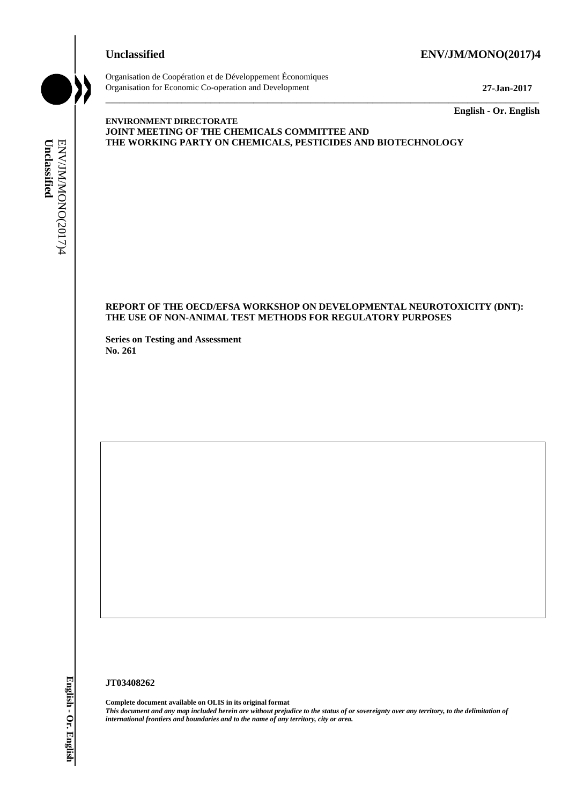## **Unclassified ENV/JM/MONO(2017)4**



Organisation de Coopération et de Développement Économiques Organisation for Economic Co-operation and Development **27-Jan-2017**

\_\_\_\_\_\_\_\_\_\_\_\_\_ **English - Or. English**

## **ENVIRONMENT DIRECTORATE JOINT MEETING OF THE CHEMICALS COMMITTEE AND THE WORKING PARTY ON CHEMICALS, PESTICIDES AND BIOTECHNOLOGY**

## **REPORT OF THE OECD/EFSA WORKSHOP ON DEVELOPMENTAL NEUROTOXICITY (DNT): THE USE OF NON-ANIMAL TEST METHODS FOR REGULATORY PURPOSES**

\_\_\_\_\_\_\_\_\_\_\_\_\_\_\_\_\_\_\_\_\_\_\_\_\_\_\_\_\_\_\_\_\_\_\_\_\_\_\_\_\_\_\_\_\_\_\_\_\_\_\_\_\_\_\_\_\_\_\_\_\_\_\_\_\_\_\_\_\_\_\_\_\_\_\_\_\_\_\_\_\_\_\_\_\_\_\_\_\_\_\_

**Series on Testing and Assessment No. 261**

### **JT03408262**

**Complete document available on OLIS in its original format** *This document and any map included herein are without prejudice to the status of or sovereignty over any territory, to the delimitation of*  **IFFERENCE PARTY ON CIENTICALS, PESTICIDES**<br> **IFFERENCE OF THE OF COVERSA WORKSHOP ON DEVELTING**<br> **IFFERENCE OF NON-ANIMAL TEST METHODS FOR REG.**<br> **SEE AND 2017**<br> **IFFERENCE OF NON-ANIMAL TEST METHODS FOR REG.**<br> **SEE AND 2**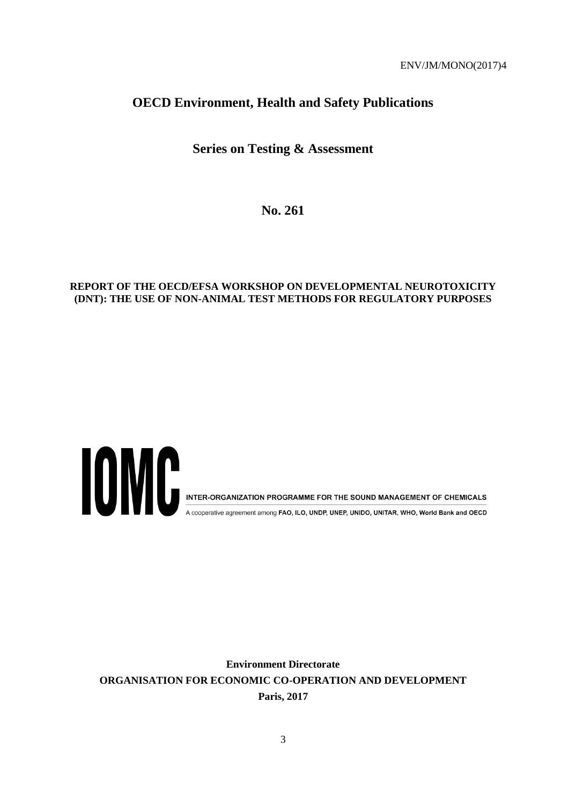## **OECD Environment, Health and Safety Publications**

## **Series on Testing & Assessment**

**No. 261**

## **REPORT OF THE OECD/EFSA WORKSHOP ON DEVELOPMENTAL NEUROTOXICITY (DNT): THE USE OF NON-ANIMAL TEST METHODS FOR REGULATORY PURPOSES**



A cooperative agreement among FAO, ILO, UNDP, UNEP, UNIDO, UNITAR, WHO, World Bank and OECD

**Environment Directorate ORGANISATION FOR ECONOMIC CO-OPERATION AND DEVELOPMENT Paris, 2017**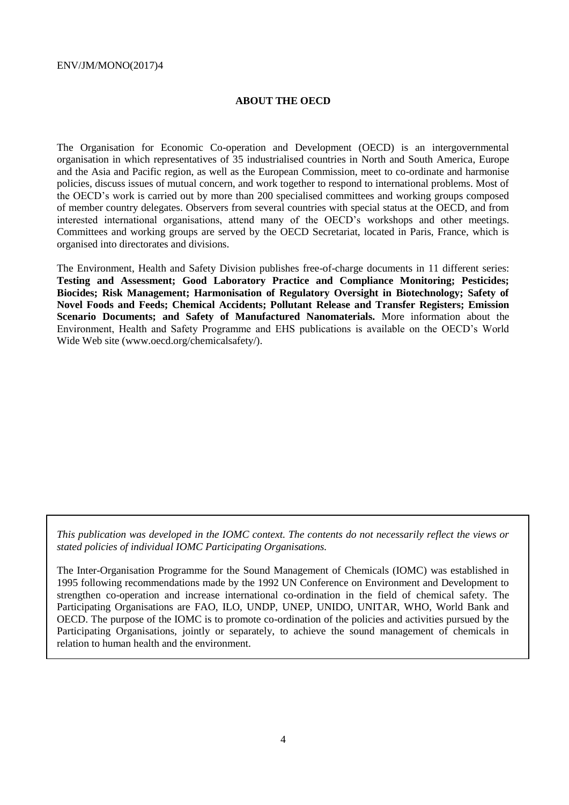### **ABOUT THE OECD**

The Organisation for Economic Co-operation and Development (OECD) is an intergovernmental organisation in which representatives of 35 industrialised countries in North and South America, Europe and the Asia and Pacific region, as well as the European Commission, meet to co-ordinate and harmonise policies, discuss issues of mutual concern, and work together to respond to international problems. Most of the OECD's work is carried out by more than 200 specialised committees and working groups composed of member country delegates. Observers from several countries with special status at the OECD, and from interested international organisations, attend many of the OECD's workshops and other meetings. Committees and working groups are served by the OECD Secretariat, located in Paris, France, which is organised into directorates and divisions.

The Environment, Health and Safety Division publishes free-of-charge documents in 11 different series: **Testing and Assessment; Good Laboratory Practice and Compliance Monitoring; Pesticides; Biocides; Risk Management; Harmonisation of Regulatory Oversight in Biotechnology; Safety of Novel Foods and Feeds; Chemical Accidents; Pollutant Release and Transfer Registers; Emission Scenario Documents; and Safety of Manufactured Nanomaterials.** More information about the Environment, Health and Safety Programme and EHS publications is available on the OECD's World Wide Web site (www.oecd.org/chemicalsafety/).

*This publication was developed in the IOMC context. The contents do not necessarily reflect the views or stated policies of individual IOMC Participating Organisations.*

The Inter-Organisation Programme for the Sound Management of Chemicals (IOMC) was established in 1995 following recommendations made by the 1992 UN Conference on Environment and Development to strengthen co-operation and increase international co-ordination in the field of chemical safety. The Participating Organisations are FAO, ILO, UNDP, UNEP, UNIDO, UNITAR, WHO, World Bank and OECD. The purpose of the IOMC is to promote co-ordination of the policies and activities pursued by the Participating Organisations, jointly or separately, to achieve the sound management of chemicals in relation to human health and the environment.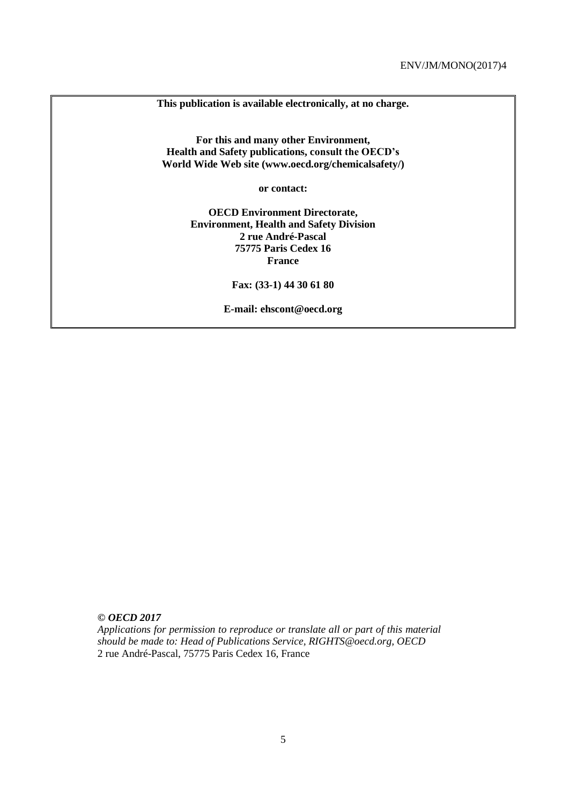**This publication is available electronically, at no charge.**

**For this and many other Environment, Health and Safety publications, consult the OECD's World Wide Web site (www.oecd.org/chemicalsafety/)**

**or contact:**

**OECD Environment Directorate, Environment, Health and Safety Division 2 rue André-Pascal 75775 Paris Cedex 16 France**

**Fax: (33-1) 44 30 61 80** 

**E-mail: ehscont@oecd.org**

*© OECD 2017*

*Applications for permission to reproduce or translate all or part of this material should be made to: Head of Publications Service, RIGHTS@oecd.org, OECD* 2 rue André-Pascal, 75775 Paris Cedex 16, France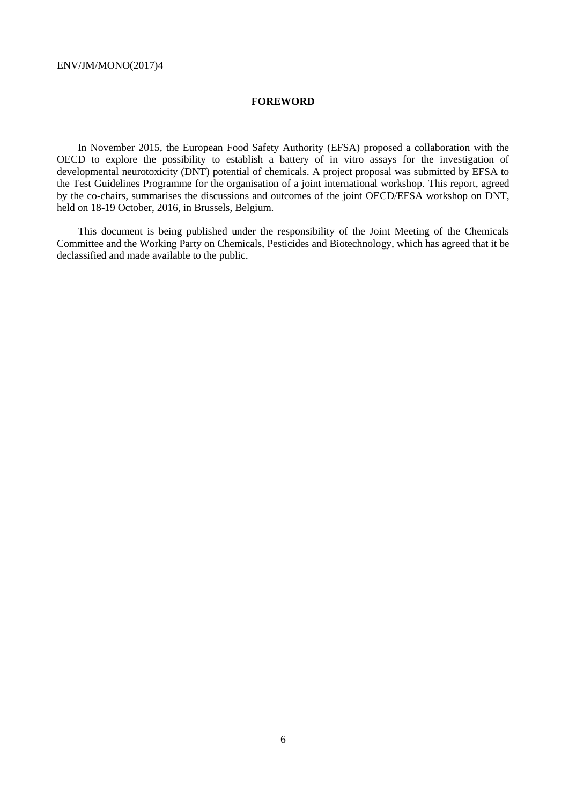#### **FOREWORD**

In November 2015, the European Food Safety Authority (EFSA) proposed a collaboration with the OECD to explore the possibility to establish a battery of in vitro assays for the investigation of developmental neurotoxicity (DNT) potential of chemicals. A project proposal was submitted by EFSA to the Test Guidelines Programme for the organisation of a joint international workshop. This report, agreed by the co-chairs, summarises the discussions and outcomes of the joint OECD/EFSA workshop on DNT, held on 18-19 October, 2016, in Brussels, Belgium.

This document is being published under the responsibility of the Joint Meeting of the Chemicals Committee and the Working Party on Chemicals, Pesticides and Biotechnology, which has agreed that it be declassified and made available to the public.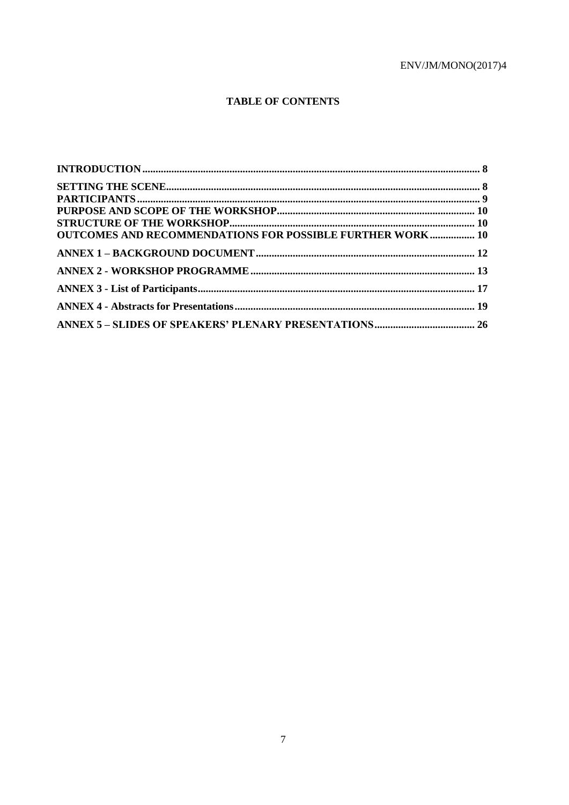## **TABLE OF CONTENTS**

| INTRODUCTION 38                                                  |  |
|------------------------------------------------------------------|--|
|                                                                  |  |
|                                                                  |  |
|                                                                  |  |
|                                                                  |  |
| <b>OUTCOMES AND RECOMMENDATIONS FOR POSSIBLE FURTHER WORK 10</b> |  |
|                                                                  |  |
|                                                                  |  |
|                                                                  |  |
|                                                                  |  |
|                                                                  |  |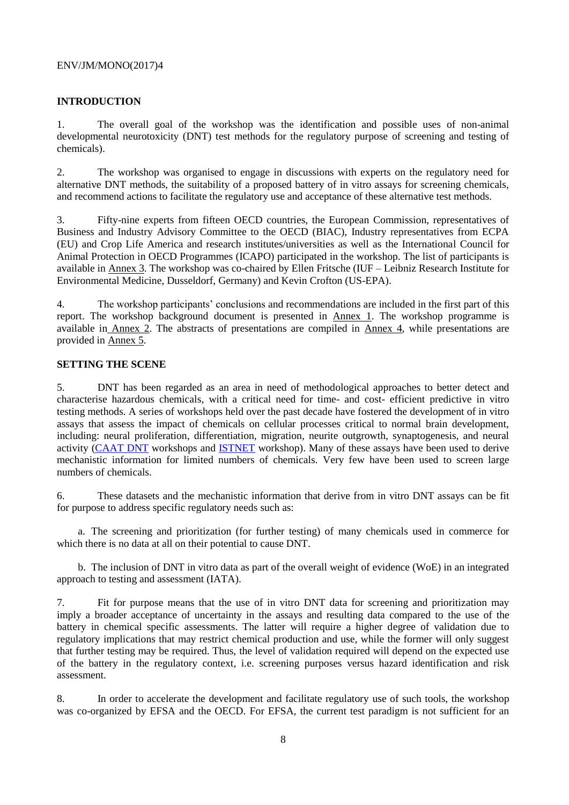## **INTRODUCTION**

1. The overall goal of the workshop was the identification and possible uses of non-animal developmental neurotoxicity (DNT) test methods for the regulatory purpose of screening and testing of chemicals).

2. The workshop was organised to engage in discussions with experts on the regulatory need for alternative DNT methods, the suitability of a proposed battery of in vitro assays for screening chemicals, and recommend actions to facilitate the regulatory use and acceptance of these alternative test methods.

3. Fifty-nine experts from fifteen OECD countries, the European Commission, representatives of Business and Industry Advisory Committee to the OECD (BIAC), Industry representatives from ECPA (EU) and Crop Life America and research institutes/universities as well as the International Council for Animal Protection in OECD Programmes (ICAPO) participated in the workshop. The list of participants is available in Annex 3. The workshop was co-chaired by Ellen Fritsche (IUF – Leibniz Research Institute for Environmental Medicine, Dusseldorf, Germany) and Kevin Crofton (US-EPA).

4. The workshop participants' conclusions and recommendations are included in the first part of this report. The workshop background document is presented in Annex 1. The workshop programme is available in Annex 2. The abstracts of presentations are compiled in Annex 4, while presentations are provided in Annex 5.

#### **SETTING THE SCENE**

5. DNT has been regarded as an area in need of methodological approaches to better detect and characterise hazardous chemicals, with a critical need for time- and cost- efficient predictive in vitro testing methods. A series of workshops held over the past decade have fostered the development of in vitro assays that assess the impact of chemicals on cellular processes critical to normal brain development, including: neural proliferation, differentiation, migration, neurite outgrowth, synaptogenesis, and neural activity (CAAT DNT workshops and ISTNET workshop). Many of these assays have been used to derive mechanistic information for limited numbers of chemicals. Very few have been used to screen large numbers of chemicals.

6. These datasets and the mechanistic information that derive from in vitro DNT assays can be fit for purpose to address specific regulatory needs such as:

a. The screening and prioritization (for further testing) of many chemicals used in commerce for which there is no data at all on their potential to cause DNT.

b. The inclusion of DNT in vitro data as part of the overall weight of evidence (WoE) in an integrated approach to testing and assessment (IATA).

7. Fit for purpose means that the use of in vitro DNT data for screening and prioritization may imply a broader acceptance of uncertainty in the assays and resulting data compared to the use of the battery in chemical specific assessments. The latter will require a higher degree of validation due to regulatory implications that may restrict chemical production and use, while the former will only suggest that further testing may be required. Thus, the level of validation required will depend on the expected use of the battery in the regulatory context, i.e. screening purposes versus hazard identification and risk assessment.

8. In order to accelerate the development and facilitate regulatory use of such tools, the workshop was co-organized by EFSA and the OECD. For EFSA, the current test paradigm is not sufficient for an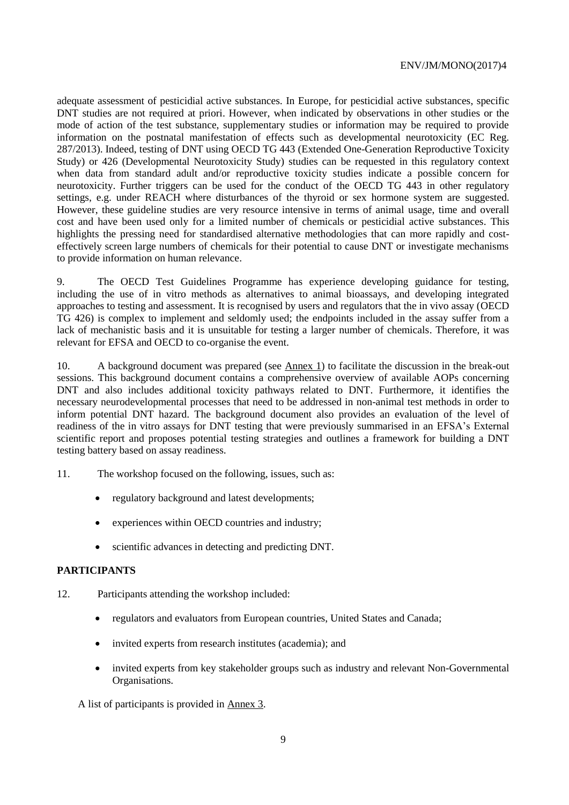adequate assessment of pesticidial active substances. In Europe, for pesticidial active substances, specific DNT studies are not required at priori. However, when indicated by observations in other studies or the mode of action of the test substance, supplementary studies or information may be required to provide information on the postnatal manifestation of effects such as developmental neurotoxicity (EC Reg. 287/2013). Indeed, testing of DNT using OECD TG 443 (Extended One-Generation Reproductive Toxicity Study) or 426 (Developmental Neurotoxicity Study) studies can be requested in this regulatory context when data from standard adult and/or reproductive toxicity studies indicate a possible concern for neurotoxicity. Further triggers can be used for the conduct of the OECD TG 443 in other regulatory settings, e.g. under REACH where disturbances of the thyroid or sex hormone system are suggested. However, these guideline studies are very resource intensive in terms of animal usage, time and overall cost and have been used only for a limited number of chemicals or pesticidial active substances. This highlights the pressing need for standardised alternative methodologies that can more rapidly and costeffectively screen large numbers of chemicals for their potential to cause DNT or investigate mechanisms to provide information on human relevance.

9. The OECD Test Guidelines Programme has experience developing guidance for testing, including the use of in vitro methods as alternatives to animal bioassays, and developing integrated approaches to testing and assessment. It is recognised by users and regulators that the in vivo assay (OECD TG 426) is complex to implement and seldomly used; the endpoints included in the assay suffer from a lack of mechanistic basis and it is unsuitable for testing a larger number of chemicals. Therefore, it was relevant for EFSA and OECD to co-organise the event.

10. A background document was prepared (see Annex 1) to facilitate the discussion in the break-out sessions. This background document contains a comprehensive overview of available AOPs concerning DNT and also includes additional toxicity pathways related to DNT. Furthermore, it identifies the necessary neurodevelopmental processes that need to be addressed in non-animal test methods in order to inform potential DNT hazard. The background document also provides an evaluation of the level of readiness of the in vitro assays for DNT testing that were previously summarised in an EFSA's External scientific report and proposes potential testing strategies and outlines a framework for building a DNT testing battery based on assay readiness.

11. The workshop focused on the following, issues, such as:

- regulatory background and latest developments;
- experiences within OECD countries and industry;
- scientific advances in detecting and predicting DNT.

## **PARTICIPANTS**

- 12. Participants attending the workshop included:
	- regulators and evaluators from European countries, United States and Canada;
	- invited experts from research institutes (academia); and
	- invited experts from key stakeholder groups such as industry and relevant Non-Governmental Organisations.

A list of participants is provided in Annex 3.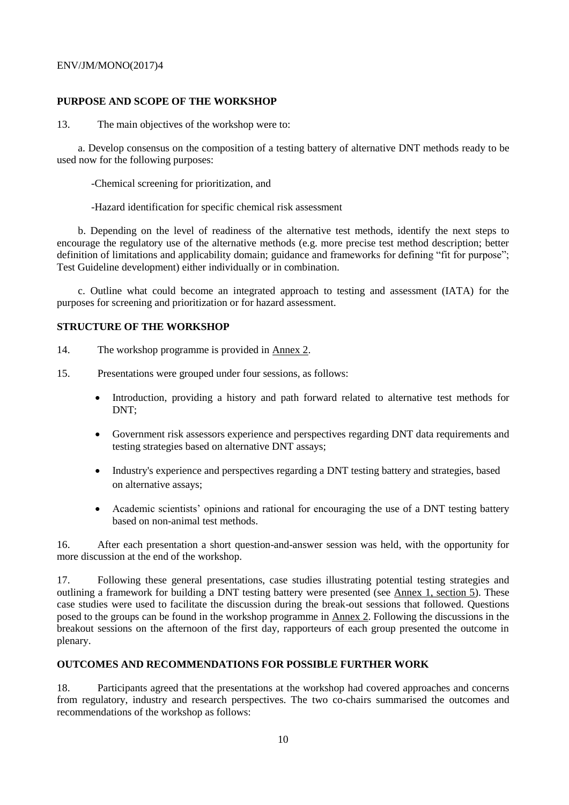## **PURPOSE AND SCOPE OF THE WORKSHOP**

13. The main objectives of the workshop were to:

a. Develop consensus on the composition of a testing battery of alternative DNT methods ready to be used now for the following purposes:

-Chemical screening for prioritization, and

-Hazard identification for specific chemical risk assessment

b. Depending on the level of readiness of the alternative test methods, identify the next steps to encourage the regulatory use of the alternative methods (e.g. more precise test method description; better definition of limitations and applicability domain; guidance and frameworks for defining "fit for purpose"; Test Guideline development) either individually or in combination.

c. Outline what could become an integrated approach to testing and assessment (IATA) for the purposes for screening and prioritization or for hazard assessment.

#### **STRUCTURE OF THE WORKSHOP**

- 14. The workshop programme is provided in Annex 2.
- 15. Presentations were grouped under four sessions, as follows:
	- Introduction, providing a history and path forward related to alternative test methods for DNT;
	- Government risk assessors experience and perspectives regarding DNT data requirements and testing strategies based on alternative DNT assays;
	- Industry's experience and perspectives regarding a DNT testing battery and strategies, based on alternative assays;
	- Academic scientists' opinions and rational for encouraging the use of a DNT testing battery based on non-animal test methods.

16. After each presentation a short question-and-answer session was held, with the opportunity for more discussion at the end of the workshop.

17. Following these general presentations, case studies illustrating potential testing strategies and outlining a framework for building a DNT testing battery were presented (see Annex 1, section 5). These case studies were used to facilitate the discussion during the break-out sessions that followed. Questions posed to the groups can be found in the workshop programme in Annex 2. Following the discussions in the breakout sessions on the afternoon of the first day, rapporteurs of each group presented the outcome in plenary.

## **OUTCOMES AND RECOMMENDATIONS FOR POSSIBLE FURTHER WORK**

18. Participants agreed that the presentations at the workshop had covered approaches and concerns from regulatory, industry and research perspectives. The two co-chairs summarised the outcomes and recommendations of the workshop as follows: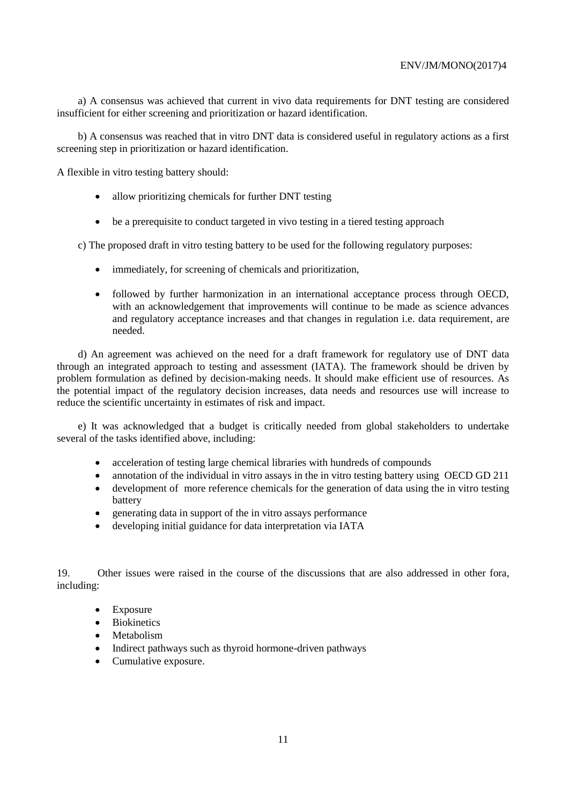a) A consensus was achieved that current in vivo data requirements for DNT testing are considered insufficient for either screening and prioritization or hazard identification.

b) A consensus was reached that in vitro DNT data is considered useful in regulatory actions as a first screening step in prioritization or hazard identification.

A flexible in vitro testing battery should:

- allow prioritizing chemicals for further DNT testing
- be a prerequisite to conduct targeted in vivo testing in a tiered testing approach

c) The proposed draft in vitro testing battery to be used for the following regulatory purposes:

- immediately, for screening of chemicals and prioritization,
- followed by further harmonization in an international acceptance process through OECD, with an acknowledgement that improvements will continue to be made as science advances and regulatory acceptance increases and that changes in regulation i.e. data requirement, are needed.

d) An agreement was achieved on the need for a draft framework for regulatory use of DNT data through an integrated approach to testing and assessment (IATA). The framework should be driven by problem formulation as defined by decision-making needs. It should make efficient use of resources. As the potential impact of the regulatory decision increases, data needs and resources use will increase to reduce the scientific uncertainty in estimates of risk and impact.

e) It was acknowledged that a budget is critically needed from global stakeholders to undertake several of the tasks identified above, including:

- acceleration of testing large chemical libraries with hundreds of compounds
- annotation of the individual in vitro assays in the in vitro testing battery using OECD GD 211
- development of more reference chemicals for the generation of data using the in vitro testing battery
- generating data in support of the in vitro assays performance
- developing initial guidance for data interpretation via IATA

19. Other issues were raised in the course of the discussions that are also addressed in other fora, including:

- Exposure
- Biokinetics
- Metabolism
- Indirect pathways such as thyroid hormone-driven pathways
- Cumulative exposure.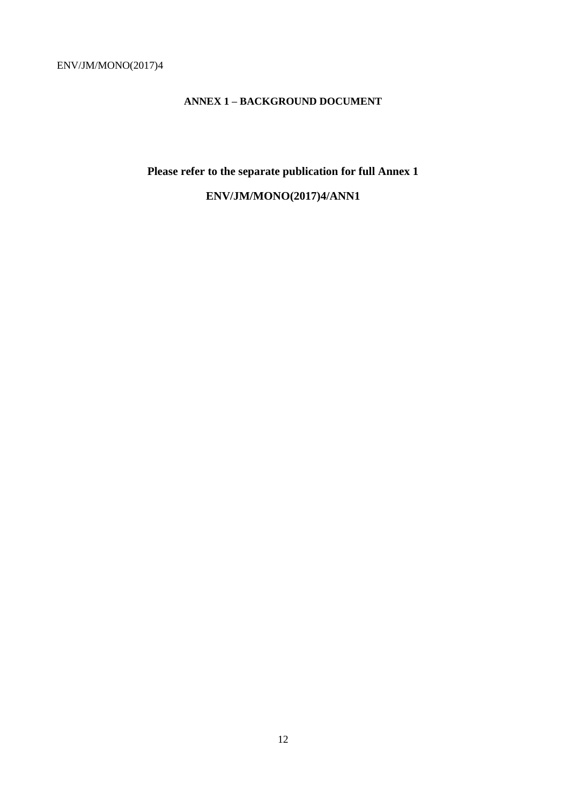## **ANNEX 1 – BACKGROUND DOCUMENT**

# **Please refer to the separate publication for full Annex 1 ENV/JM/MONO(2017)4/ANN1**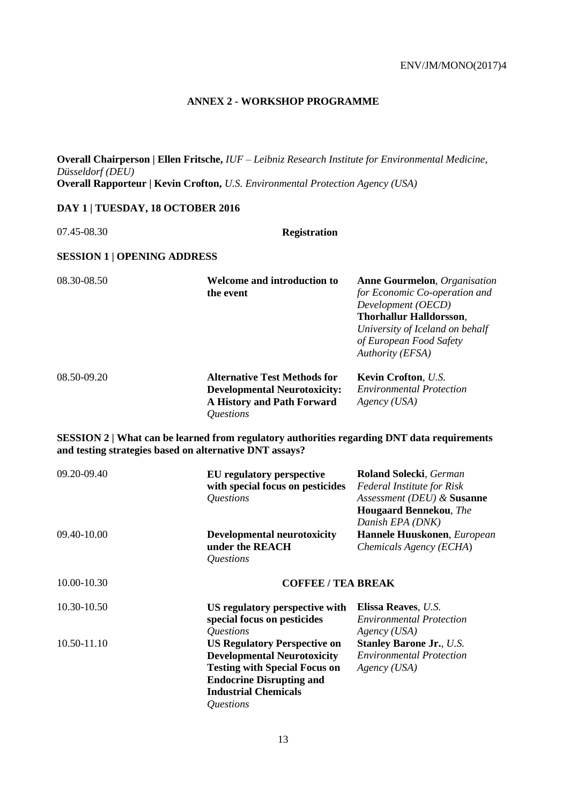## **ANNEX 2 - WORKSHOP PROGRAMME**

**Overall Chairperson | Ellen Fritsche,** *IUF – Leibniz Research Institute for Environmental Medicine, Düsseldorf (DEU)*  **Overall Rapporteur | Kevin Crofton,** *U.S. Environmental Protection Agency (USA)*

## **DAY 1 | TUESDAY, 18 OCTOBER 2016**

07.45-08.30 **Registration** 

## **SESSION 1 | OPENING ADDRESS**

| 08.30-08.50 | Welcome and introduction to<br>the event                                                                                            | <b>Anne Gourmelon</b> , Organisation<br>for Economic Co-operation and<br>Development (OECD)<br><b>Thorhallur Halldorsson,</b><br>University of Iceland on behalf<br>of European Food Safety<br>Authority (EFSA) |
|-------------|-------------------------------------------------------------------------------------------------------------------------------------|-----------------------------------------------------------------------------------------------------------------------------------------------------------------------------------------------------------------|
| 08.50-09.20 | <b>Alternative Test Methods for</b><br><b>Developmental Neurotoxicity:</b><br>A History and Path Forward<br><i><b>Ouestions</b></i> | <b>Kevin Crofton, U.S.</b><br><b>Environmental Protection</b><br>Agency (USA)                                                                                                                                   |

**SESSION 2 | What can be learned from regulatory authorities regarding DNT data requirements and testing strategies based on alternative DNT assays?** 

| 09.20-09.40 | <b>EU</b> regulatory perspective<br>with special focus on pesticides<br>Questions                                                                                                                                     | <b>Roland Solecki, German</b><br><b>Federal Institute for Risk</b><br>Assessment (DEU) & Susanne<br><b>Hougaard Bennekou, The</b><br>Danish EPA (DNK) |  |
|-------------|-----------------------------------------------------------------------------------------------------------------------------------------------------------------------------------------------------------------------|-------------------------------------------------------------------------------------------------------------------------------------------------------|--|
| 09.40-10.00 | <b>Developmental neurotoxicity</b><br>under the REACH<br>Questions                                                                                                                                                    | Hannele Huuskonen, European<br>Chemicals Agency (ECHA)                                                                                                |  |
| 10.00-10.30 | <b>COFFEE / TEA BREAK</b>                                                                                                                                                                                             |                                                                                                                                                       |  |
| 10.30-10.50 | US regulatory perspective with<br>special focus on pesticides<br>Questions                                                                                                                                            | <b>Elissa Reaves, U.S.</b><br><b>Environmental Protection</b><br>Agency (USA)                                                                         |  |
| 10.50-11.10 | <b>US Regulatory Perspective on</b><br><b>Developmental Neurotoxicity</b><br><b>Testing with Special Focus on</b><br><b>Endocrine Disrupting and</b><br><b>Industrial Chemicals</b><br><i><u><b>Ouestions</b></u></i> | <b>Stanley Barone Jr., U.S.</b><br><b>Environmental Protection</b><br>$A\text{gency}$ (USA)                                                           |  |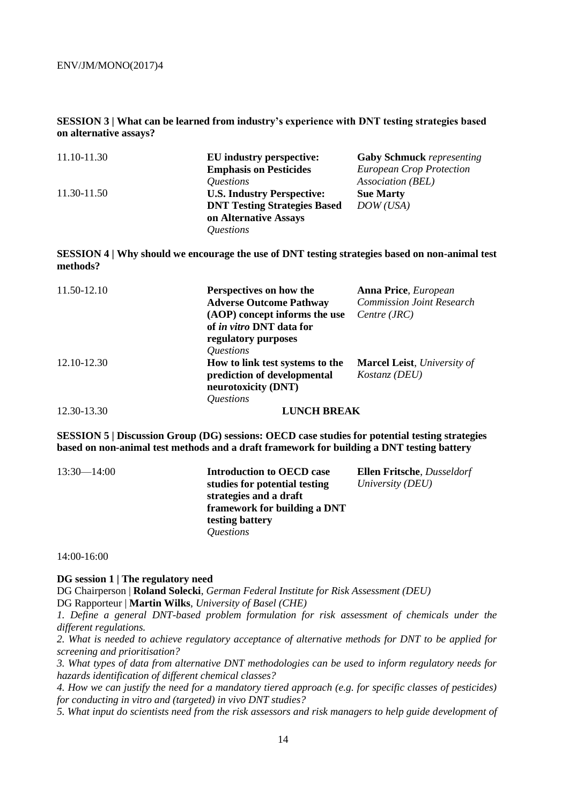**SESSION 3 | What can be learned from industry's experience with DNT testing strategies based on alternative assays?** 

| 11.10-11.30 | EU industry perspective:            | <b>Gaby Schmuck</b> representing |
|-------------|-------------------------------------|----------------------------------|
|             | <b>Emphasis on Pesticides</b>       | <b>European Crop Protection</b>  |
|             | <i><u><b>Ouestions</b></u></i>      | Association (BEL)                |
| 11.30-11.50 | <b>U.S. Industry Perspective:</b>   | <b>Sue Marty</b>                 |
|             | <b>DNT Testing Strategies Based</b> | DOW(USA)                         |
|             | on Alternative Assays               |                                  |
|             | <i><u><b>Ouestions</b></u></i>      |                                  |

**SESSION 4 | Why should we encourage the use of DNT testing strategies based on non-animal test methods?** 

| 11.50-12.10 | Perspectives on how the<br><b>Adverse Outcome Pathway</b><br>(AOP) concept informs the use<br>of <i>in vitro</i> DNT data for<br>regulatory purposes<br><i><u><b>Ouestions</b></u></i> | <b>Anna Price</b> , <i>European</i><br><b>Commission Joint Research</b><br>Centre (JRC) |
|-------------|----------------------------------------------------------------------------------------------------------------------------------------------------------------------------------------|-----------------------------------------------------------------------------------------|
| 12.10-12.30 | How to link test systems to the<br>prediction of developmental<br>neurotoxicity (DNT)<br><i><u><b>Ouestions</b></u></i>                                                                | <b>Marcel Leist</b> , University of<br><i>Kostanz</i> ( <i>DEU</i> )                    |
| 12.30-13.30 | <b>LUNCH BREAK</b>                                                                                                                                                                     |                                                                                         |

**SESSION 5 | Discussion Group (DG) sessions: OECD case studies for potential testing strategies based on non-animal test methods and a draft framework for building a DNT testing battery** 

| $13:30 - 14:00$ | <b>Introduction to OECD case</b> | <b>Ellen Fritsche</b> , <i>Dusseldorf</i> |
|-----------------|----------------------------------|-------------------------------------------|
|                 | studies for potential testing    | University (DEU)                          |
|                 | strategies and a draft           |                                           |
|                 | framework for building a DNT     |                                           |
|                 | testing battery                  |                                           |
|                 | <i><u><b>Ouestions</b></u></i>   |                                           |

14:00-16:00

#### **DG session 1 | The regulatory need**

DG Chairperson | **Roland Solecki**, *German Federal Institute for Risk Assessment (DEU)*  DG Rapporteur | **Martin Wilks**, *University of Basel (CHE)* 

*1. Define a general DNT-based problem formulation for risk assessment of chemicals under the different regulations.* 

*2. What is needed to achieve regulatory acceptance of alternative methods for DNT to be applied for screening and prioritisation?* 

*3. What types of data from alternative DNT methodologies can be used to inform regulatory needs for hazards identification of different chemical classes?* 

*4. How we can justify the need for a mandatory tiered approach (e.g. for specific classes of pesticides) for conducting in vitro and (targeted) in vivo DNT studies?* 

*5. What input do scientists need from the risk assessors and risk managers to help guide development of*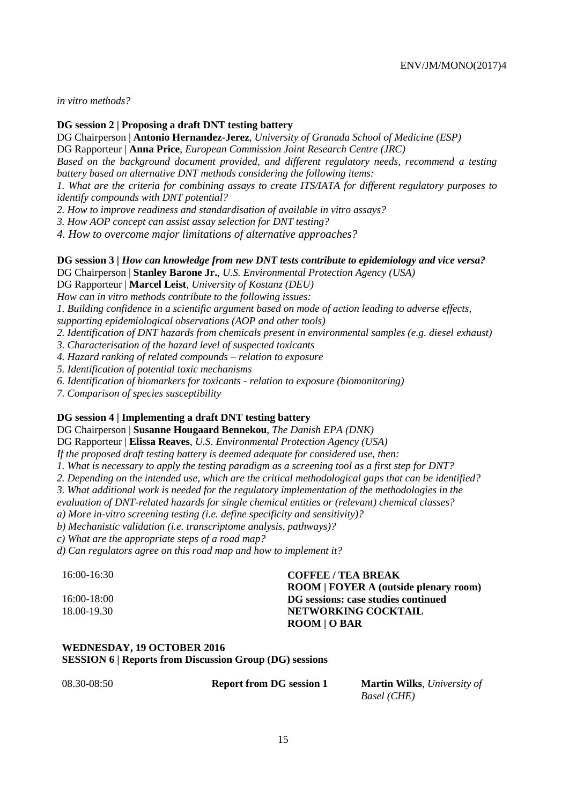*in vitro methods?* 

**DG session 2 | Proposing a draft DNT testing battery** 

DG Chairperson | **Antonio Hernandez-Jerez**, *University of Granada School of Medicine (ESP)*  DG Rapporteur | **Anna Price**, *European Commission Joint Research Centre (JRC)* 

*Based on the background document provided, and different regulatory needs, recommend a testing battery based on alternative DNT methods considering the following items:* 

*1. What are the criteria for combining assays to create ITS/IATA for different regulatory purposes to identify compounds with DNT potential?* 

*2. How to improve readiness and standardisation of available in vitro assays?* 

*3. How AOP concept can assist assay selection for DNT testing?* 

*4. How to overcome major limitations of alternative approaches?* 

**DG session 3 |** *How can knowledge from new DNT tests contribute to epidemiology and vice versa?* 

DG Chairperson | **Stanley Barone Jr.**, *U.S. Environmental Protection Agency (USA)* 

DG Rapporteur | **Marcel Leist**, *University of Kostanz (DEU)* 

*How can in vitro methods contribute to the following issues:* 

*1. Building confidence in a scientific argument based on mode of action leading to adverse effects, supporting epidemiological observations (AOP and other tools)* 

*2. Identification of DNT hazards from chemicals present in environmental samples (e.g. diesel exhaust)* 

*3. Characterisation of the hazard level of suspected toxicants* 

*4. Hazard ranking of related compounds – relation to exposure* 

*5. Identification of potential toxic mechanisms* 

*6. Identification of biomarkers for toxicants - relation to exposure (biomonitoring)* 

*7. Comparison of species susceptibility* 

## **DG session 4 | Implementing a draft DNT testing battery**

DG Chairperson | **Susanne Hougaard Bennekou**, *The Danish EPA (DNK)* 

DG Rapporteur | **Elissa Reaves**, *U.S. Environmental Protection Agency (USA)* 

*If the proposed draft testing battery is deemed adequate for considered use, then:* 

*1. What is necessary to apply the testing paradigm as a screening tool as a first step for DNT?* 

*2. Depending on the intended use, which are the critical methodological gaps that can be identified?* 

*3. What additional work is needed for the regulatory implementation of the methodologies in the* 

*evaluation of DNT-related hazards for single chemical entities or (relevant) chemical classes?* 

*a) More in-vitro screening testing (i.e. define specificity and sensitivity)?* 

*b) Mechanistic validation (i.e. transcriptome analysis, pathways)?* 

*c) What are the appropriate steps of a road map?* 

*d) Can regulators agree on this road map and how to implement it?* 

#### 16:00-16:30 **COFFEE / TEA BREAK**

**ROOM | FOYER A (outside plenary room)**  16:00-18:00 **DG sessions: case studies continued**  18.00-19.30 **NETWORKING COCKTAIL ROOM | O BAR** 

## **WEDNESDAY, 19 OCTOBER 2016**

**SESSION 6 | Reports from Discussion Group (DG) sessions** 

08.30-08:50 **Report from DG session 1 Martin Wilks**, *University of Basel (CHE)*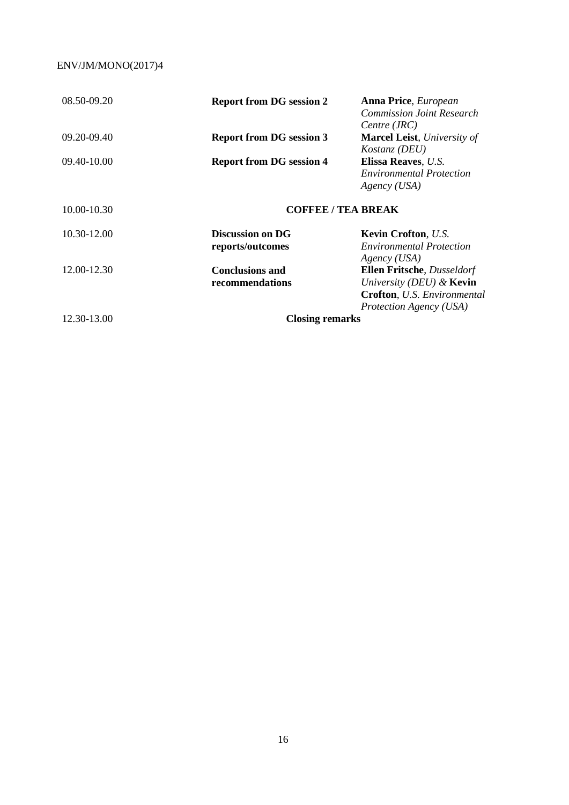| 08.50-09.20 | <b>Report from DG session 2</b> | <b>Anna Price</b> , <i>European</i>        |  |
|-------------|---------------------------------|--------------------------------------------|--|
|             |                                 | <b>Commission Joint Research</b>           |  |
|             |                                 | Centre (JRC)                               |  |
| 09.20-09.40 | <b>Report from DG session 3</b> | <b>Marcel Leist</b> , University of        |  |
|             |                                 | Kostanz (DEU)                              |  |
| 09.40-10.00 | <b>Report from DG session 4</b> | Elissa Reaves, U.S.                        |  |
|             |                                 | <i>Environmental Protection</i>            |  |
|             |                                 | Agency (USA)                               |  |
| 10.00-10.30 | <b>COFFEE / TEA BREAK</b>       |                                            |  |
| 10.30-12.00 | <b>Discussion on DG</b>         | <b>Kevin Crofton, U.S.</b>                 |  |
|             | reports/outcomes                | <i>Environmental Protection</i>            |  |
|             |                                 | Agency (USA)                               |  |
| 12.00-12.30 | <b>Conclusions and</b>          | <b>Ellen Fritsche</b> , <i>Dusseldorf</i>  |  |
|             | recommendations                 | University (DEU) $\&$ Kevin                |  |
|             |                                 | <b>Crofton</b> , <i>U.S. Environmental</i> |  |
|             |                                 | Protection Agency (USA)                    |  |
| 12.30-13.00 | <b>Closing remarks</b>          |                                            |  |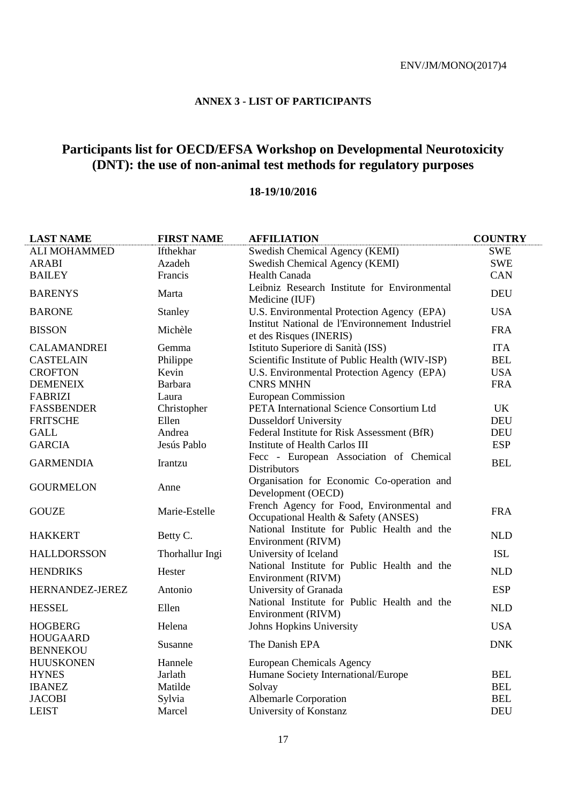## **ANNEX 3 - LIST OF PARTICIPANTS**

## **Participants list for OECD/EFSA Workshop on Developmental Neurotoxicity (DNT): the use of non-animal test methods for regulatory purposes**

## **18-19/10/2016**

| <b>LAST NAME</b>                   | <b>FIRST NAME</b> | <b>AFFILIATION</b>                                                                | <b>COUNTRY</b> |
|------------------------------------|-------------------|-----------------------------------------------------------------------------------|----------------|
| <b>ALI MOHAMMED</b>                | Ifthekhar         | Swedish Chemical Agency (KEMI)                                                    | <b>SWE</b>     |
| <b>ARABI</b>                       | Azadeh            | Swedish Chemical Agency (KEMI)                                                    | <b>SWE</b>     |
| <b>BAILEY</b>                      | Francis           | Health Canada                                                                     | <b>CAN</b>     |
| <b>BARENYS</b>                     | Marta             | Leibniz Research Institute for Environmental<br>Medicine (IUF)                    | <b>DEU</b>     |
| <b>BARONE</b>                      | Stanley           | U.S. Environmental Protection Agency (EPA)                                        | <b>USA</b>     |
| <b>BISSON</b>                      | Michèle           | Institut National de l'Environnement Industriel<br>et des Risques (INERIS)        | <b>FRA</b>     |
| <b>CALAMANDREI</b>                 | Gemma             | Istituto Superiore di Sanità (ISS)                                                | <b>ITA</b>     |
| <b>CASTELAIN</b>                   | Philippe          | Scientific Institute of Public Health (WIV-ISP)                                   | <b>BEL</b>     |
| <b>CROFTON</b>                     | Kevin             | U.S. Environmental Protection Agency (EPA)                                        | <b>USA</b>     |
| <b>DEMENEIX</b>                    | <b>Barbara</b>    | <b>CNRS MNHN</b>                                                                  | <b>FRA</b>     |
| <b>FABRIZI</b>                     | Laura             | European Commission                                                               |                |
| <b>FASSBENDER</b>                  | Christopher       | PETA International Science Consortium Ltd                                         | UK             |
| <b>FRITSCHE</b>                    | Ellen             | <b>Dusseldorf University</b>                                                      | <b>DEU</b>     |
| <b>GALL</b>                        | Andrea            | Federal Institute for Risk Assessment (BfR)                                       | <b>DEU</b>     |
| <b>GARCIA</b>                      | Jesús Pablo       | Institute of Health Carlos III                                                    | <b>ESP</b>     |
| <b>GARMENDIA</b>                   | Irantzu           | Fecc - European Association of Chemical<br><b>Distributors</b>                    | <b>BEL</b>     |
| <b>GOURMELON</b>                   | Anne              | Organisation for Economic Co-operation and<br>Development (OECD)                  |                |
| <b>GOUZE</b>                       | Marie-Estelle     | French Agency for Food, Environmental and<br>Occupational Health & Safety (ANSES) | <b>FRA</b>     |
| <b>HAKKERT</b>                     | Betty C.          | National Institute for Public Health and the<br>Environment (RIVM)                | <b>NLD</b>     |
| <b>HALLDORSSON</b>                 | Thorhallur Ingi   | University of Iceland                                                             | <b>ISL</b>     |
| <b>HENDRIKS</b>                    | Hester            | National Institute for Public Health and the<br>Environment (RIVM)                | <b>NLD</b>     |
| HERNANDEZ-JEREZ                    | Antonio           | University of Granada                                                             | <b>ESP</b>     |
| <b>HESSEL</b>                      | Ellen             | National Institute for Public Health and the<br>Environment (RIVM)                | <b>NLD</b>     |
| <b>HOGBERG</b>                     | Helena            | Johns Hopkins University                                                          | <b>USA</b>     |
| <b>HOUGAARD</b><br><b>BENNEKOU</b> | Susanne           | The Danish EPA                                                                    | <b>DNK</b>     |
| <b>HUUSKONEN</b>                   | Hannele           | European Chemicals Agency                                                         |                |
| <b>HYNES</b>                       | Jarlath           | Humane Society International/Europe                                               | <b>BEL</b>     |
| <b>IBANEZ</b>                      | Matilde           | Solvay                                                                            | <b>BEL</b>     |
| <b>JACOBI</b>                      | Sylvia            | Albemarle Corporation                                                             | <b>BEL</b>     |
| <b>LEIST</b>                       | Marcel            | University of Konstanz                                                            | <b>DEU</b>     |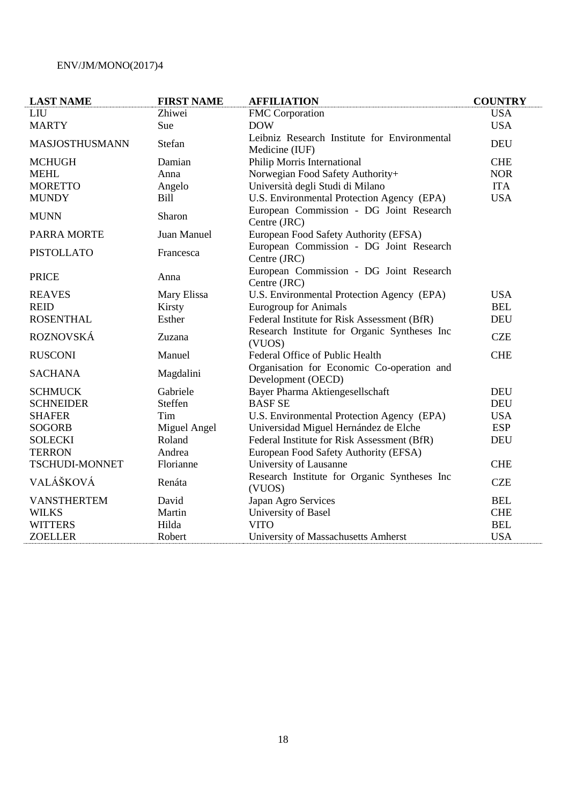| <b>LAST NAME</b>      | <b>FIRST NAME</b> | <b>AFFILIATION</b>                                               | <b>COUNTRY</b> |
|-----------------------|-------------------|------------------------------------------------------------------|----------------|
| <b>LIU</b>            | Zhiwei            | <b>FMC</b> Corporation                                           | <b>USA</b>     |
| <b>MARTY</b>          | Sue               | <b>DOW</b>                                                       | <b>USA</b>     |
| MASJOSTHUSMANN        | Stefan            | Leibniz Research Institute for Environmental                     | <b>DEU</b>     |
|                       |                   | Medicine (IUF)                                                   |                |
| <b>MCHUGH</b>         | Damian            | Philip Morris International                                      | <b>CHE</b>     |
| <b>MEHL</b>           | Anna              | Norwegian Food Safety Authority+                                 | <b>NOR</b>     |
| <b>MORETTO</b>        | Angelo            | Università degli Studi di Milano                                 | <b>ITA</b>     |
| <b>MUNDY</b>          | <b>Bill</b>       | U.S. Environmental Protection Agency (EPA)                       | <b>USA</b>     |
| <b>MUNN</b>           | Sharon            | European Commission - DG Joint Research<br>Centre (JRC)          |                |
| <b>PARRA MORTE</b>    | Juan Manuel       | European Food Safety Authority (EFSA)                            |                |
| <b>PISTOLLATO</b>     | Francesca         | European Commission - DG Joint Research                          |                |
|                       |                   | Centre (JRC)                                                     |                |
| <b>PRICE</b>          | Anna              | European Commission - DG Joint Research<br>Centre (JRC)          |                |
| <b>REAVES</b>         | Mary Elissa       | U.S. Environmental Protection Agency (EPA)                       | <b>USA</b>     |
| <b>REID</b>           | Kirsty            | <b>Eurogroup for Animals</b>                                     | <b>BEL</b>     |
| <b>ROSENTHAL</b>      | Esther            | Federal Institute for Risk Assessment (BfR)                      | <b>DEU</b>     |
| <b>ROZNOVSKÁ</b>      | Zuzana            | Research Institute for Organic Syntheses Inc                     | <b>CZE</b>     |
|                       |                   | (VUOS)                                                           |                |
| <b>RUSCONI</b>        | Manuel            | Federal Office of Public Health                                  | <b>CHE</b>     |
| <b>SACHANA</b>        | Magdalini         | Organisation for Economic Co-operation and<br>Development (OECD) |                |
| <b>SCHMUCK</b>        | Gabriele          | Bayer Pharma Aktiengesellschaft                                  | <b>DEU</b>     |
| <b>SCHNEIDER</b>      | Steffen           | <b>BASF SE</b>                                                   | <b>DEU</b>     |
| <b>SHAFER</b>         | Tim               | U.S. Environmental Protection Agency (EPA)                       | <b>USA</b>     |
| <b>SOGORB</b>         | Miguel Angel      | Universidad Miguel Hernández de Elche                            | <b>ESP</b>     |
| <b>SOLECKI</b>        | Roland            | Federal Institute for Risk Assessment (BfR)                      | <b>DEU</b>     |
| <b>TERRON</b>         | Andrea            | European Food Safety Authority (EFSA)                            |                |
| <b>TSCHUDI-MONNET</b> | Florianne         | University of Lausanne                                           | <b>CHE</b>     |
| VALÁŠKOVÁ             | Renáta            | Research Institute for Organic Syntheses Inc<br>(VUOS)           | <b>CZE</b>     |
| <b>VANSTHERTEM</b>    | David             | Japan Agro Services                                              | <b>BEL</b>     |
| <b>WILKS</b>          | Martin            | University of Basel                                              | <b>CHE</b>     |
| <b>WITTERS</b>        | Hilda             | <b>VITO</b>                                                      | <b>BEL</b>     |
| <b>ZOELLER</b>        | Robert            | University of Massachusetts Amherst                              | <b>USA</b>     |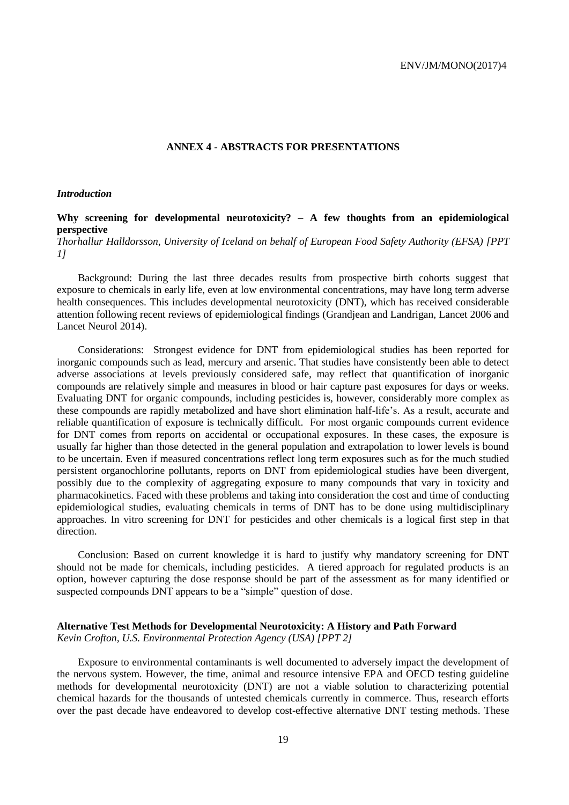#### **ANNEX 4 - ABSTRACTS FOR PRESENTATIONS**

#### *Introduction*

## **Why screening for developmental neurotoxicity? – A few thoughts from an epidemiological perspective**

*Thorhallur Halldorsson, University of Iceland on behalf of European Food Safety Authority (EFSA) [PPT 1]*

Background: During the last three decades results from prospective birth cohorts suggest that exposure to chemicals in early life, even at low environmental concentrations, may have long term adverse health consequences. This includes developmental neurotoxicity (DNT), which has received considerable attention following recent reviews of epidemiological findings (Grandjean and Landrigan, Lancet 2006 and Lancet Neurol 2014).

Considerations: Strongest evidence for DNT from epidemiological studies has been reported for inorganic compounds such as lead, mercury and arsenic. That studies have consistently been able to detect adverse associations at levels previously considered safe, may reflect that quantification of inorganic compounds are relatively simple and measures in blood or hair capture past exposures for days or weeks. Evaluating DNT for organic compounds, including pesticides is, however, considerably more complex as these compounds are rapidly metabolized and have short elimination half-life's. As a result, accurate and reliable quantification of exposure is technically difficult. For most organic compounds current evidence for DNT comes from reports on accidental or occupational exposures. In these cases, the exposure is usually far higher than those detected in the general population and extrapolation to lower levels is bound to be uncertain. Even if measured concentrations reflect long term exposures such as for the much studied persistent organochlorine pollutants, reports on DNT from epidemiological studies have been divergent, possibly due to the complexity of aggregating exposure to many compounds that vary in toxicity and pharmacokinetics. Faced with these problems and taking into consideration the cost and time of conducting epidemiological studies, evaluating chemicals in terms of DNT has to be done using multidisciplinary approaches. In vitro screening for DNT for pesticides and other chemicals is a logical first step in that direction.

Conclusion: Based on current knowledge it is hard to justify why mandatory screening for DNT should not be made for chemicals, including pesticides. A tiered approach for regulated products is an option, however capturing the dose response should be part of the assessment as for many identified or suspected compounds DNT appears to be a "simple" question of dose.

## **Alternative Test Methods for Developmental Neurotoxicity: A History and Path Forward**

*Kevin Crofton, U.S. Environmental Protection Agency (USA) [PPT 2]*

Exposure to environmental contaminants is well documented to adversely impact the development of the nervous system. However, the time, animal and resource intensive EPA and OECD testing guideline methods for developmental neurotoxicity (DNT) are not a viable solution to characterizing potential chemical hazards for the thousands of untested chemicals currently in commerce. Thus, research efforts over the past decade have endeavored to develop cost-effective alternative DNT testing methods. These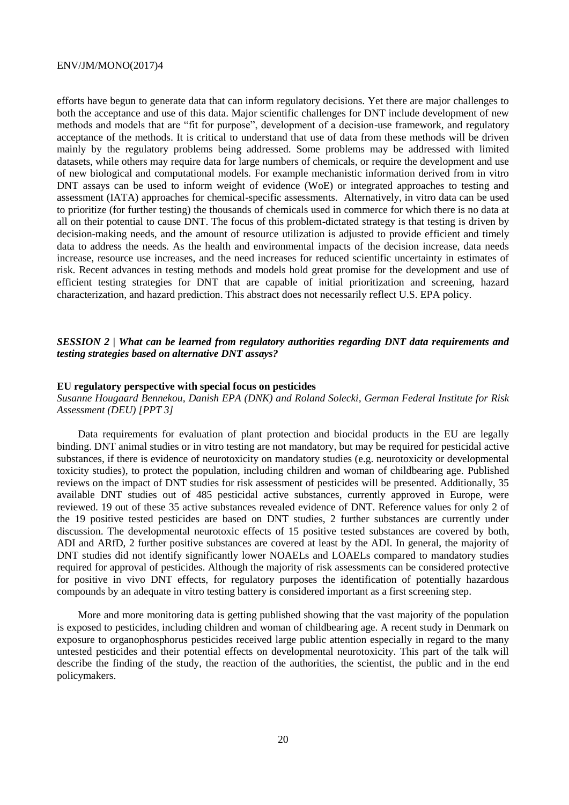efforts have begun to generate data that can inform regulatory decisions. Yet there are major challenges to both the acceptance and use of this data. Major scientific challenges for DNT include development of new methods and models that are "fit for purpose", development of a decision-use framework, and regulatory acceptance of the methods. It is critical to understand that use of data from these methods will be driven mainly by the regulatory problems being addressed. Some problems may be addressed with limited datasets, while others may require data for large numbers of chemicals, or require the development and use of new biological and computational models. For example mechanistic information derived from in vitro DNT assays can be used to inform weight of evidence (WoE) or integrated approaches to testing and assessment (IATA) approaches for chemical-specific assessments. Alternatively, in vitro data can be used to prioritize (for further testing) the thousands of chemicals used in commerce for which there is no data at all on their potential to cause DNT. The focus of this problem-dictated strategy is that testing is driven by decision-making needs, and the amount of resource utilization is adjusted to provide efficient and timely data to address the needs. As the health and environmental impacts of the decision increase, data needs increase, resource use increases, and the need increases for reduced scientific uncertainty in estimates of risk. Recent advances in testing methods and models hold great promise for the development and use of efficient testing strategies for DNT that are capable of initial prioritization and screening, hazard characterization, and hazard prediction. This abstract does not necessarily reflect U.S. EPA policy.

## *SESSION 2 | What can be learned from regulatory authorities regarding DNT data requirements and testing strategies based on alternative DNT assays?*

#### **EU regulatory perspective with special focus on pesticides**

*Susanne Hougaard Bennekou, Danish EPA (DNK) and Roland Solecki, German Federal Institute for Risk Assessment (DEU) [PPT 3]*

Data requirements for evaluation of plant protection and biocidal products in the EU are legally binding. DNT animal studies or in vitro testing are not mandatory, but may be required for pesticidal active substances, if there is evidence of neurotoxicity on mandatory studies (e.g. neurotoxicity or developmental toxicity studies), to protect the population, including children and woman of childbearing age. Published reviews on the impact of DNT studies for risk assessment of pesticides will be presented. Additionally, 35 available DNT studies out of 485 pesticidal active substances, currently approved in Europe, were reviewed. 19 out of these 35 active substances revealed evidence of DNT. Reference values for only 2 of the 19 positive tested pesticides are based on DNT studies, 2 further substances are currently under discussion. The developmental neurotoxic effects of 15 positive tested substances are covered by both, ADI and ARfD, 2 further positive substances are covered at least by the ADI. In general, the majority of DNT studies did not identify significantly lower NOAELs and LOAELs compared to mandatory studies required for approval of pesticides. Although the majority of risk assessments can be considered protective for positive in vivo DNT effects, for regulatory purposes the identification of potentially hazardous compounds by an adequate in vitro testing battery is considered important as a first screening step.

More and more monitoring data is getting published showing that the vast majority of the population is exposed to pesticides, including children and woman of childbearing age. A recent study in Denmark on exposure to organophosphorus pesticides received large public attention especially in regard to the many untested pesticides and their potential effects on developmental neurotoxicity. This part of the talk will describe the finding of the study, the reaction of the authorities, the scientist, the public and in the end policymakers.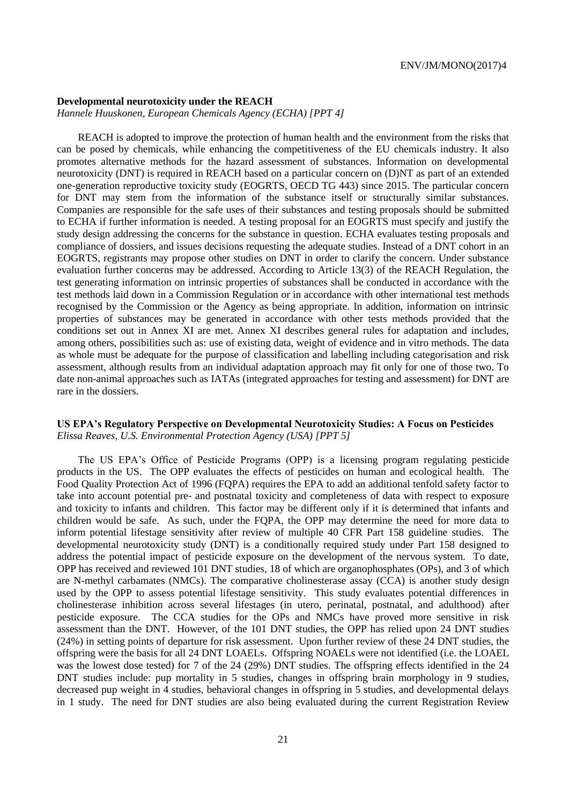#### **Developmental neurotoxicity under the REACH**

*Hannele Huuskonen, European Chemicals Agency (ECHA) [PPT 4]*

REACH is adopted to improve the protection of human health and the environment from the risks that can be posed by chemicals, while enhancing the competitiveness of the EU chemicals industry. It also promotes alternative methods for the hazard assessment of substances. Information on developmental neurotoxicity (DNT) is required in REACH based on a particular concern on (D)NT as part of an extended one-generation reproductive toxicity study (EOGRTS, OECD TG 443) since 2015. The particular concern for DNT may stem from the information of the substance itself or structurally similar substances. Companies are responsible for the safe uses of their substances and testing proposals should be submitted to ECHA if further information is needed. A testing proposal for an EOGRTS must specify and justify the study design addressing the concerns for the substance in question. ECHA evaluates testing proposals and compliance of dossiers, and issues decisions requesting the adequate studies. Instead of a DNT cohort in an EOGRTS, registrants may propose other studies on DNT in order to clarify the concern. Under substance evaluation further concerns may be addressed. According to Article 13(3) of the REACH Regulation, the test generating information on intrinsic properties of substances shall be conducted in accordance with the test methods laid down in a Commission Regulation or in accordance with other international test methods recognised by the Commission or the Agency as being appropriate. In addition, information on intrinsic properties of substances may be generated in accordance with other tests methods provided that the conditions set out in Annex XI are met. Annex XI describes general rules for adaptation and includes, among others, possibilities such as: use of existing data, weight of evidence and in vitro methods. The data as whole must be adequate for the purpose of classification and labelling including categorisation and risk assessment, although results from an individual adaptation approach may fit only for one of those two. To date non-animal approaches such as IATAs (integrated approaches for testing and assessment) for DNT are rare in the dossiers.

## **US EPA's Regulatory Perspective on Developmental Neurotoxicity Studies: A Focus on Pesticides** *Elissa Reaves, U.S. Environmental Protection Agency (USA) [PPT 5]*

The US EPA's Office of Pesticide Programs (OPP) is a licensing program regulating pesticide products in the US. The OPP evaluates the effects of pesticides on human and ecological health. The Food Quality Protection Act of 1996 (FQPA) requires the EPA to add an additional tenfold safety factor to take into account potential pre- and postnatal toxicity and completeness of data with respect to exposure and toxicity to infants and children. This factor may be different only if it is determined that infants and children would be safe. As such, under the FQPA, the OPP may determine the need for more data to inform potential lifestage sensitivity after review of multiple 40 CFR Part 158 guideline studies. The developmental neurotoxicity study (DNT) is a conditionally required study under Part 158 designed to address the potential impact of pesticide exposure on the development of the nervous system. To date, OPP has received and reviewed 101 DNT studies, 18 of which are organophosphates (OPs), and 3 of which are N-methyl carbamates (NMCs). The comparative cholinesterase assay (CCA) is another study design used by the OPP to assess potential lifestage sensitivity. This study evaluates potential differences in cholinesterase inhibition across several lifestages (in utero, perinatal, postnatal, and adulthood) after pesticide exposure. The CCA studies for the OPs and NMCs have proved more sensitive in risk assessment than the DNT. However, of the 101 DNT studies, the OPP has relied upon 24 DNT studies (24%) in setting points of departure for risk assessment. Upon further review of these 24 DNT studies, the offspring were the basis for all 24 DNT LOAELs. Offspring NOAELs were not identified (i.e. the LOAEL was the lowest dose tested) for 7 of the 24 (29%) DNT studies. The offspring effects identified in the 24 DNT studies include: pup mortality in 5 studies, changes in offspring brain morphology in 9 studies, decreased pup weight in 4 studies, behavioral changes in offspring in 5 studies, and developmental delays in 1 study. The need for DNT studies are also being evaluated during the current Registration Review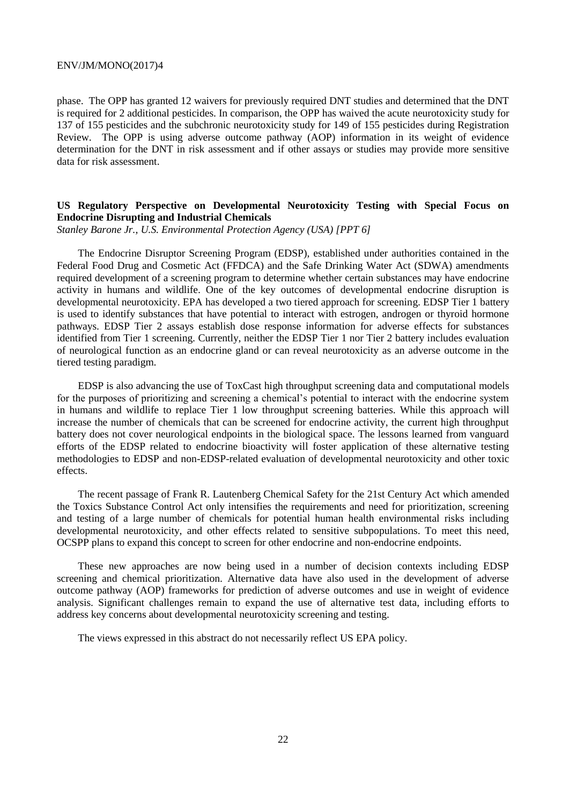phase. The OPP has granted 12 waivers for previously required DNT studies and determined that the DNT is required for 2 additional pesticides. In comparison, the OPP has waived the acute neurotoxicity study for 137 of 155 pesticides and the subchronic neurotoxicity study for 149 of 155 pesticides during Registration Review. The OPP is using adverse outcome pathway (AOP) information in its weight of evidence determination for the DNT in risk assessment and if other assays or studies may provide more sensitive data for risk assessment.

## **US Regulatory Perspective on Developmental Neurotoxicity Testing with Special Focus on Endocrine Disrupting and Industrial Chemicals**

*Stanley Barone Jr., U.S. Environmental Protection Agency (USA) [PPT 6]*

The Endocrine Disruptor Screening Program (EDSP), established under authorities contained in the Federal Food Drug and Cosmetic Act (FFDCA) and the Safe Drinking Water Act (SDWA) amendments required development of a screening program to determine whether certain substances may have endocrine activity in humans and wildlife. One of the key outcomes of developmental endocrine disruption is developmental neurotoxicity. EPA has developed a two tiered approach for screening. EDSP Tier 1 battery is used to identify substances that have potential to interact with estrogen, androgen or thyroid hormone pathways. EDSP Tier 2 assays establish dose response information for adverse effects for substances identified from Tier 1 screening. Currently, neither the EDSP Tier 1 nor Tier 2 battery includes evaluation of neurological function as an endocrine gland or can reveal neurotoxicity as an adverse outcome in the tiered testing paradigm.

EDSP is also advancing the use of ToxCast high throughput screening data and computational models for the purposes of prioritizing and screening a chemical's potential to interact with the endocrine system in humans and wildlife to replace Tier 1 low throughput screening batteries. While this approach will increase the number of chemicals that can be screened for endocrine activity, the current high throughput battery does not cover neurological endpoints in the biological space. The lessons learned from vanguard efforts of the EDSP related to endocrine bioactivity will foster application of these alternative testing methodologies to EDSP and non-EDSP-related evaluation of developmental neurotoxicity and other toxic effects.

The recent passage of Frank R. Lautenberg Chemical Safety for the 21st Century Act which amended the Toxics Substance Control Act only intensifies the requirements and need for prioritization, screening and testing of a large number of chemicals for potential human health environmental risks including developmental neurotoxicity, and other effects related to sensitive subpopulations. To meet this need, OCSPP plans to expand this concept to screen for other endocrine and non-endocrine endpoints.

These new approaches are now being used in a number of decision contexts including EDSP screening and chemical prioritization. Alternative data have also used in the development of adverse outcome pathway (AOP) frameworks for prediction of adverse outcomes and use in weight of evidence analysis. Significant challenges remain to expand the use of alternative test data, including efforts to address key concerns about developmental neurotoxicity screening and testing.

The views expressed in this abstract do not necessarily reflect US EPA policy.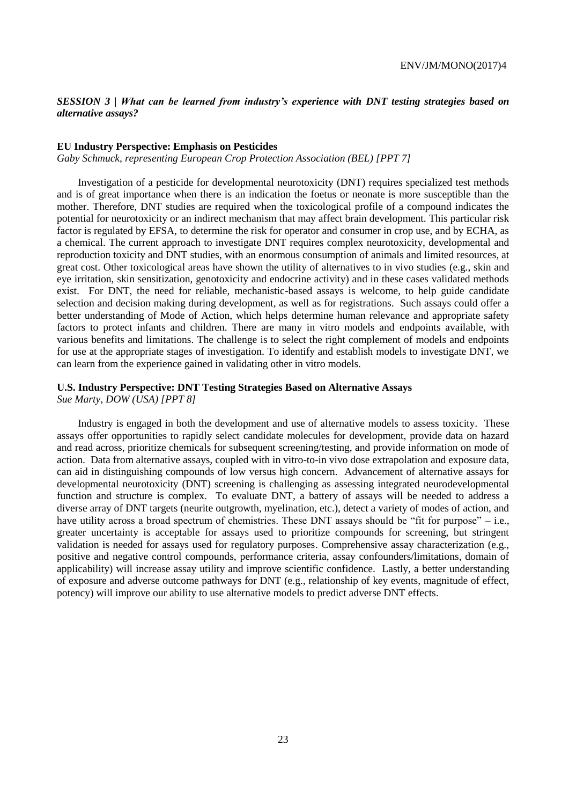*SESSION 3 | What can be learned from industry's experience with DNT testing strategies based on alternative assays?*

#### **EU Industry Perspective: Emphasis on Pesticides**

*Gaby Schmuck, representing European Crop Protection Association (BEL) [PPT 7]*

Investigation of a pesticide for developmental neurotoxicity (DNT) requires specialized test methods and is of great importance when there is an indication the foetus or neonate is more susceptible than the mother. Therefore, DNT studies are required when the toxicological profile of a compound indicates the potential for neurotoxicity or an indirect mechanism that may affect brain development. This particular risk factor is regulated by EFSA, to determine the risk for operator and consumer in crop use, and by ECHA, as a chemical. The current approach to investigate DNT requires complex neurotoxicity, developmental and reproduction toxicity and DNT studies, with an enormous consumption of animals and limited resources, at great cost. Other toxicological areas have shown the utility of alternatives to in vivo studies (e.g., skin and eye irritation, skin sensitization, genotoxicity and endocrine activity) and in these cases validated methods exist. For DNT, the need for reliable, mechanistic-based assays is welcome, to help guide candidate selection and decision making during development, as well as for registrations. Such assays could offer a better understanding of Mode of Action, which helps determine human relevance and appropriate safety factors to protect infants and children. There are many in vitro models and endpoints available, with various benefits and limitations. The challenge is to select the right complement of models and endpoints for use at the appropriate stages of investigation. To identify and establish models to investigate DNT, we can learn from the experience gained in validating other in vitro models.

## **U.S. Industry Perspective: DNT Testing Strategies Based on Alternative Assays**

*Sue Marty, DOW (USA) [PPT 8]*

Industry is engaged in both the development and use of alternative models to assess toxicity. These assays offer opportunities to rapidly select candidate molecules for development, provide data on hazard and read across, prioritize chemicals for subsequent screening/testing, and provide information on mode of action. Data from alternative assays, coupled with in vitro-to-in vivo dose extrapolation and exposure data, can aid in distinguishing compounds of low versus high concern. Advancement of alternative assays for developmental neurotoxicity (DNT) screening is challenging as assessing integrated neurodevelopmental function and structure is complex. To evaluate DNT, a battery of assays will be needed to address a diverse array of DNT targets (neurite outgrowth, myelination, etc.), detect a variety of modes of action, and have utility across a broad spectrum of chemistries. These DNT assays should be "fit for purpose" – i.e., greater uncertainty is acceptable for assays used to prioritize compounds for screening, but stringent validation is needed for assays used for regulatory purposes. Comprehensive assay characterization (e.g., positive and negative control compounds, performance criteria, assay confounders/limitations, domain of applicability) will increase assay utility and improve scientific confidence. Lastly, a better understanding of exposure and adverse outcome pathways for DNT (e.g., relationship of key events, magnitude of effect, potency) will improve our ability to use alternative models to predict adverse DNT effects.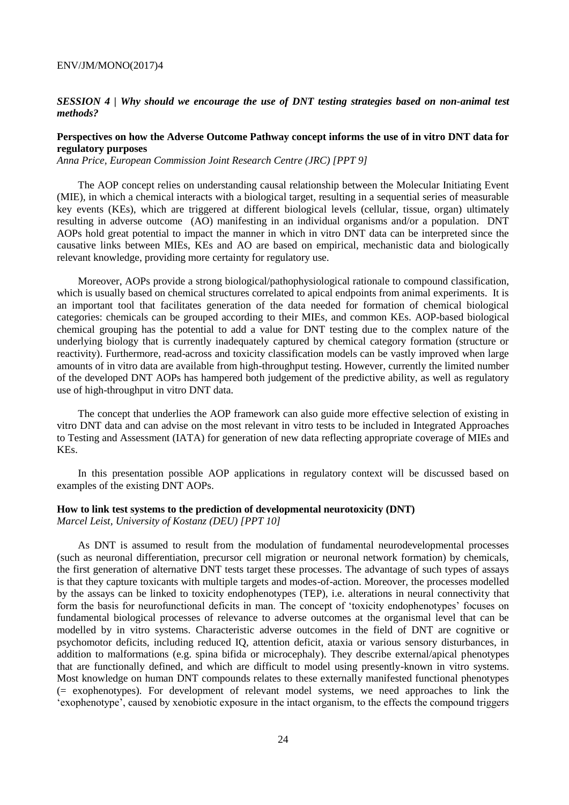#### *SESSION 4 | Why should we encourage the use of DNT testing strategies based on non-animal test methods?*

## **Perspectives on how the Adverse Outcome Pathway concept informs the use of in vitro DNT data for regulatory purposes**

*Anna Price, European Commission Joint Research Centre (JRC) [PPT 9]*

The AOP concept relies on understanding causal relationship between the Molecular Initiating Event (MIE), in which a chemical interacts with a biological target, resulting in a sequential series of measurable key events (KEs), which are triggered at different biological levels (cellular, tissue, organ) ultimately resulting in adverse outcome (AO) manifesting in an individual organisms and/or a population. DNT AOPs hold great potential to impact the manner in which in vitro DNT data can be interpreted since the causative links between MIEs, KEs and AO are based on empirical, mechanistic data and biologically relevant knowledge, providing more certainty for regulatory use.

Moreover, AOPs provide a strong biological/pathophysiological rationale to compound classification, which is usually based on chemical structures correlated to apical endpoints from animal experiments. It is an important tool that facilitates generation of the data needed for formation of chemical biological categories: chemicals can be grouped according to their MIEs, and common KEs. AOP-based biological chemical grouping has the potential to add a value for DNT testing due to the complex nature of the underlying biology that is currently inadequately captured by chemical category formation (structure or reactivity). Furthermore, read-across and toxicity classification models can be vastly improved when large amounts of in vitro data are available from high-throughput testing. However, currently the limited number of the developed DNT AOPs has hampered both judgement of the predictive ability, as well as regulatory use of high-throughput in vitro DNT data.

The concept that underlies the AOP framework can also guide more effective selection of existing in vitro DNT data and can advise on the most relevant in vitro tests to be included in Integrated Approaches to Testing and Assessment (IATA) for generation of new data reflecting appropriate coverage of MIEs and KEs.

In this presentation possible AOP applications in regulatory context will be discussed based on examples of the existing DNT AOPs.

#### **How to link test systems to the prediction of developmental neurotoxicity (DNT)**

*Marcel Leist, University of Kostanz (DEU) [PPT 10]*

As DNT is assumed to result from the modulation of fundamental neurodevelopmental processes (such as neuronal differentiation, precursor cell migration or neuronal network formation) by chemicals, the first generation of alternative DNT tests target these processes. The advantage of such types of assays is that they capture toxicants with multiple targets and modes-of-action. Moreover, the processes modelled by the assays can be linked to toxicity endophenotypes (TEP), i.e. alterations in neural connectivity that form the basis for neurofunctional deficits in man. The concept of 'toxicity endophenotypes' focuses on fundamental biological processes of relevance to adverse outcomes at the organismal level that can be modelled by in vitro systems. Characteristic adverse outcomes in the field of DNT are cognitive or psychomotor deficits, including reduced IQ, attention deficit, ataxia or various sensory disturbances, in addition to malformations (e.g. spina bifida or microcephaly). They describe external/apical phenotypes that are functionally defined, and which are difficult to model using presently-known in vitro systems. Most knowledge on human DNT compounds relates to these externally manifested functional phenotypes (= exophenotypes). For development of relevant model systems, we need approaches to link the 'exophenotype', caused by xenobiotic exposure in the intact organism, to the effects the compound triggers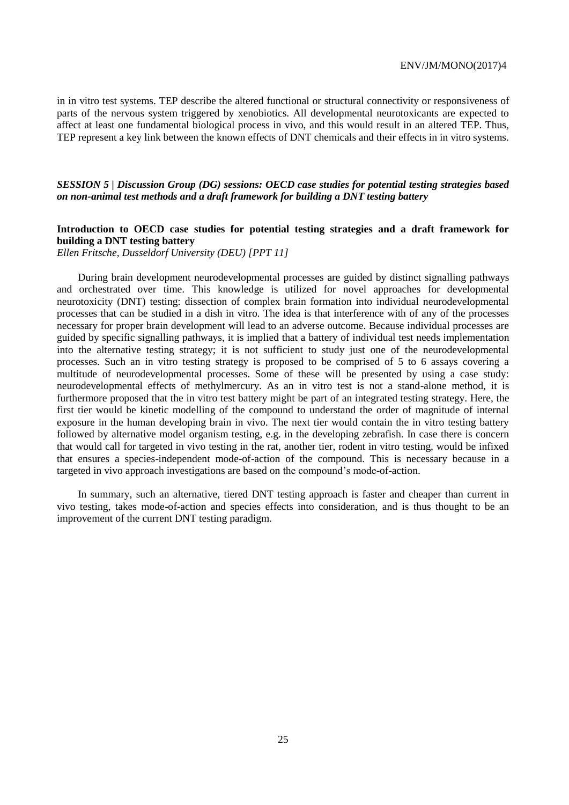in in vitro test systems. TEP describe the altered functional or structural connectivity or responsiveness of parts of the nervous system triggered by xenobiotics. All developmental neurotoxicants are expected to affect at least one fundamental biological process in vivo, and this would result in an altered TEP. Thus, TEP represent a key link between the known effects of DNT chemicals and their effects in in vitro systems.

## *SESSION 5 | Discussion Group (DG) sessions: OECD case studies for potential testing strategies based on non-animal test methods and a draft framework for building a DNT testing battery*

## **Introduction to OECD case studies for potential testing strategies and a draft framework for building a DNT testing battery**

*Ellen Fritsche, Dusseldorf University (DEU) [PPT 11]*

During brain development neurodevelopmental processes are guided by distinct signalling pathways and orchestrated over time. This knowledge is utilized for novel approaches for developmental neurotoxicity (DNT) testing: dissection of complex brain formation into individual neurodevelopmental processes that can be studied in a dish in vitro. The idea is that interference with of any of the processes necessary for proper brain development will lead to an adverse outcome. Because individual processes are guided by specific signalling pathways, it is implied that a battery of individual test needs implementation into the alternative testing strategy; it is not sufficient to study just one of the neurodevelopmental processes. Such an in vitro testing strategy is proposed to be comprised of 5 to 6 assays covering a multitude of neurodevelopmental processes. Some of these will be presented by using a case study: neurodevelopmental effects of methylmercury. As an in vitro test is not a stand-alone method, it is furthermore proposed that the in vitro test battery might be part of an integrated testing strategy. Here, the first tier would be kinetic modelling of the compound to understand the order of magnitude of internal exposure in the human developing brain in vivo. The next tier would contain the in vitro testing battery followed by alternative model organism testing, e.g. in the developing zebrafish. In case there is concern that would call for targeted in vivo testing in the rat, another tier, rodent in vitro testing, would be infixed that ensures a species-independent mode-of-action of the compound. This is necessary because in a targeted in vivo approach investigations are based on the compound's mode-of-action.

In summary, such an alternative, tiered DNT testing approach is faster and cheaper than current in vivo testing, takes mode-of-action and species effects into consideration, and is thus thought to be an improvement of the current DNT testing paradigm.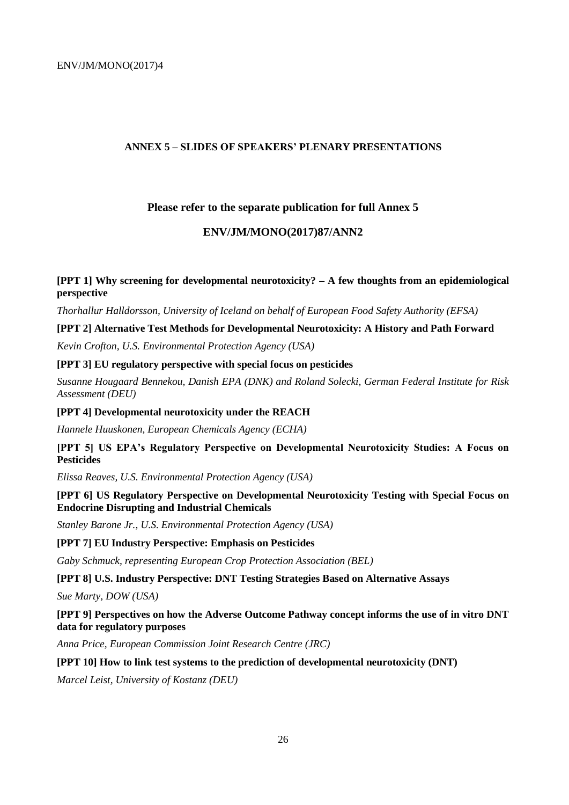## **ANNEX 5 – SLIDES OF SPEAKERS' PLENARY PRESENTATIONS**

## **Please refer to the separate publication for full Annex 5**

## **ENV/JM/MONO(2017)87/ANN2**

## **[PPT 1] Why screening for developmental neurotoxicity? – A few thoughts from an epidemiological perspective**

*Thorhallur Halldorsson, University of Iceland on behalf of European Food Safety Authority (EFSA)* 

#### **[PPT 2] Alternative Test Methods for Developmental Neurotoxicity: A History and Path Forward**

*Kevin Crofton, U.S. Environmental Protection Agency (USA)* 

## **[PPT 3] EU regulatory perspective with special focus on pesticides**

*Susanne Hougaard Bennekou, Danish EPA (DNK) and Roland Solecki, German Federal Institute for Risk Assessment (DEU)* 

#### **[PPT 4] Developmental neurotoxicity under the REACH**

*Hannele Huuskonen, European Chemicals Agency (ECHA)*

**[PPT 5] US EPA's Regulatory Perspective on Developmental Neurotoxicity Studies: A Focus on Pesticides** 

*Elissa Reaves, U.S. Environmental Protection Agency (USA)* 

**[PPT 6] US Regulatory Perspective on Developmental Neurotoxicity Testing with Special Focus on Endocrine Disrupting and Industrial Chemicals** 

*Stanley Barone Jr., U.S. Environmental Protection Agency (USA)* 

## **[PPT 7] EU Industry Perspective: Emphasis on Pesticides**

*Gaby Schmuck, representing European Crop Protection Association (BEL)* 

**[PPT 8] U.S. Industry Perspective: DNT Testing Strategies Based on Alternative Assays** 

*Sue Marty, DOW (USA)* 

**[PPT 9] Perspectives on how the Adverse Outcome Pathway concept informs the use of in vitro DNT data for regulatory purposes** 

*Anna Price, European Commission Joint Research Centre (JRC)* 

## **[PPT 10] How to link test systems to the prediction of developmental neurotoxicity (DNT)**

*Marcel Leist, University of Kostanz (DEU)*